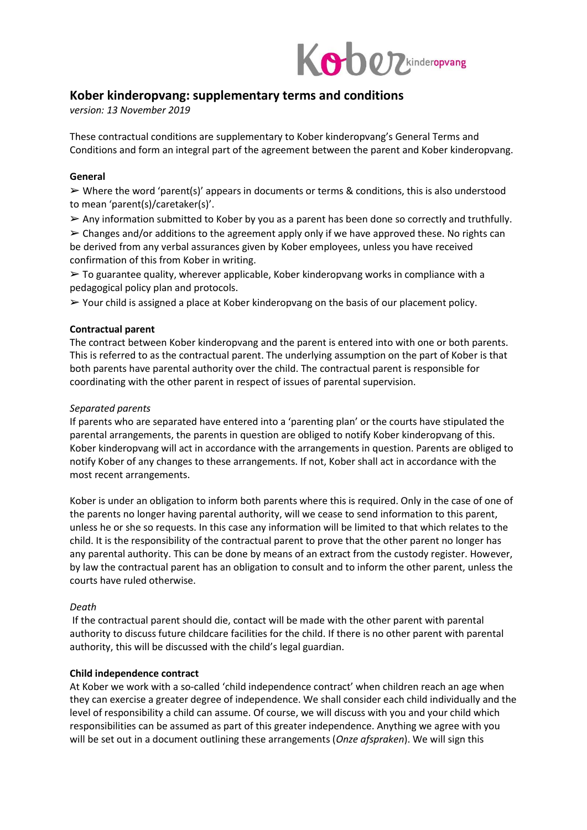

# **Kober kinderopvang: supplementary terms and conditions**

*version: 13 November 2019* 

These contractual conditions are supplementary to Kober kinderopvang's General Terms and Conditions and form an integral part of the agreement between the parent and Kober kinderopvang.

#### **General**

 $\triangleright$  Where the word 'parent(s)' appears in documents or terms & conditions, this is also understood to mean 'parent(s)/caretaker(s)'.

➢ Any information submitted to Kober by you as a parent has been done so correctly and truthfully.

 $\geq$  Changes and/or additions to the agreement apply only if we have approved these. No rights can be derived from any verbal assurances given by Kober employees, unless you have received confirmation of this from Kober in writing.

 $\geq$  To guarantee quality, wherever applicable, Kober kinderopvang works in compliance with a pedagogical policy plan and protocols.

 $\triangleright$  Your child is assigned a place at Kober kinderopvang on the basis of our placement policy.

# **Contractual parent**

The contract between Kober kinderopvang and the parent is entered into with one or both parents. This is referred to as the contractual parent. The underlying assumption on the part of Kober is that both parents have parental authority over the child. The contractual parent is responsible for coordinating with the other parent in respect of issues of parental supervision.

# *Separated parents*

If parents who are separated have entered into a 'parenting plan' or the courts have stipulated the parental arrangements, the parents in question are obliged to notify Kober kinderopvang of this. Kober kinderopvang will act in accordance with the arrangements in question. Parents are obliged to notify Kober of any changes to these arrangements. If not, Kober shall act in accordance with the most recent arrangements.

Kober is under an obligation to inform both parents where this is required. Only in the case of one of the parents no longer having parental authority, will we cease to send information to this parent, unless he or she so requests. In this case any information will be limited to that which relates to the child. It is the responsibility of the contractual parent to prove that the other parent no longer has any parental authority. This can be done by means of an extract from the custody register. However, by law the contractual parent has an obligation to consult and to inform the other parent, unless the courts have ruled otherwise.

## *Death*

If the contractual parent should die, contact will be made with the other parent with parental authority to discuss future childcare facilities for the child. If there is no other parent with parental authority, this will be discussed with the child's legal guardian.

## **Child independence contract**

At Kober we work with a so-called 'child independence contract' when children reach an age when they can exercise a greater degree of independence. We shall consider each child individually and the level of responsibility a child can assume. Of course, we will discuss with you and your child which responsibilities can be assumed as part of this greater independence. Anything we agree with you will be set out in a document outlining these arrangements (*Onze afspraken*). We will sign this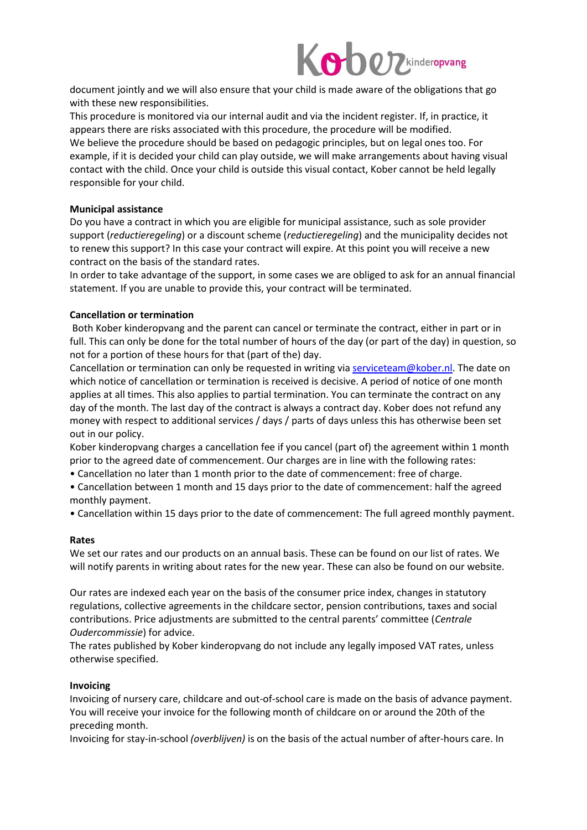

document jointly and we will also ensure that your child is made aware of the obligations that go with these new responsibilities.

This procedure is monitored via our internal audit and via the incident register. If, in practice, it appears there are risks associated with this procedure, the procedure will be modified. We believe the procedure should be based on pedagogic principles, but on legal ones too. For example, if it is decided your child can play outside, we will make arrangements about having visual contact with the child. Once your child is outside this visual contact, Kober cannot be held legally responsible for your child.

## **Municipal assistance**

Do you have a contract in which you are eligible for municipal assistance, such as sole provider support (*reductieregeling*) or a discount scheme (*reductieregeling*) and the municipality decides not to renew this support? In this case your contract will expire. At this point you will receive a new contract on the basis of the standard rates.

In order to take advantage of the support, in some cases we are obliged to ask for an annual financial statement. If you are unable to provide this, your contract will be terminated.

#### **Cancellation or termination**

Both Kober kinderopvang and the parent can cancel or terminate the contract, either in part or in full. This can only be done for the total number of hours of the day (or part of the day) in question, so not for a portion of these hours for that (part of the) day.

Cancellation or termination can only be requested in writing vi[a serviceteam@kober.nl.](file:///C:/Users/ydriel/AppData/Local/Microsoft/Windows/INetCache/Content.Outlook/P3S4JVBV/serviceteam@kober.nl) The date on which notice of cancellation or termination is received is decisive. A period of notice of one month applies at all times. This also applies to partial termination. You can terminate the contract on any day of the month. The last day of the contract is always a contract day. Kober does not refund any money with respect to additional services / days / parts of days unless this has otherwise been set out in our policy.

Kober kinderopvang charges a cancellation fee if you cancel (part of) the agreement within 1 month prior to the agreed date of commencement. Our charges are in line with the following rates:

- Cancellation no later than 1 month prior to the date of commencement: free of charge.
- Cancellation between 1 month and 15 days prior to the date of commencement: half the agreed monthly payment.

• Cancellation within 15 days prior to the date of commencement: The full agreed monthly payment.

#### **Rates**

We set our rates and our products on an annual basis. These can be found on our list of rates. We will notify parents in writing about rates for the new year. These can also be found on our website.

Our rates are indexed each year on the basis of the consumer price index, changes in statutory regulations, collective agreements in the childcare sector, pension contributions, taxes and social contributions. Price adjustments are submitted to the central parents' committee (*Centrale Oudercommissie*) for advice.

The rates published by Kober kinderopvang do not include any legally imposed VAT rates, unless otherwise specified.

## **Invoicing**

Invoicing of nursery care, childcare and out-of-school care is made on the basis of advance payment. You will receive your invoice for the following month of childcare on or around the 20th of the preceding month.

Invoicing for stay-in-school *(overblijven)* is on the basis of the actual number of after-hours care. In